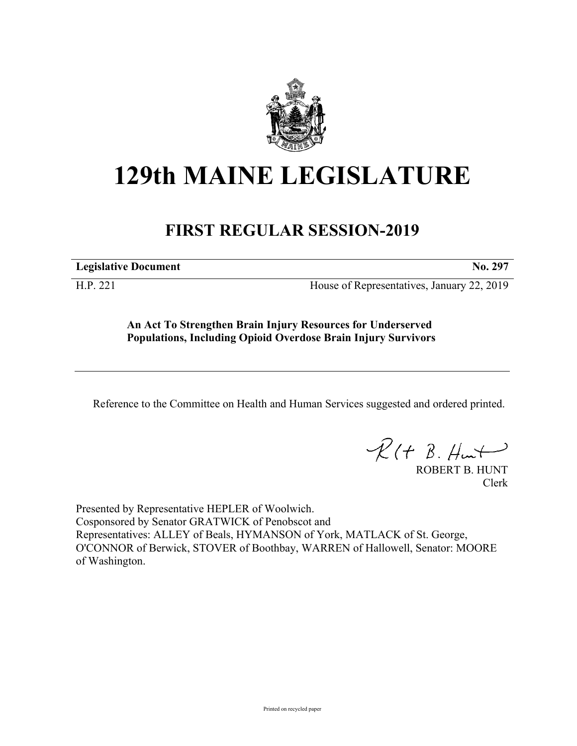

# **129th MAINE LEGISLATURE**

## **FIRST REGULAR SESSION-2019**

**Legislative Document No. 297**

H.P. 221 House of Representatives, January 22, 2019

**An Act To Strengthen Brain Injury Resources for Underserved Populations, Including Opioid Overdose Brain Injury Survivors**

Reference to the Committee on Health and Human Services suggested and ordered printed.

 $R(t B. Hmt)$ 

ROBERT B. HUNT Clerk

Presented by Representative HEPLER of Woolwich. Cosponsored by Senator GRATWICK of Penobscot and Representatives: ALLEY of Beals, HYMANSON of York, MATLACK of St. George, O'CONNOR of Berwick, STOVER of Boothbay, WARREN of Hallowell, Senator: MOORE of Washington.